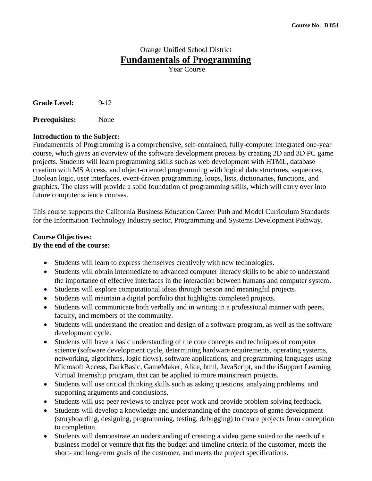# Orange Unified School District **Fundamentals of Programming**

Year Course

**Grade Level:** 9-12

**Prerequisites:** None

# **Introduction to the Subject:**

Fundamentals of Programming is a comprehensive, self-contained, fully-computer integrated one-year course, which gives an overview of the software development process by creating 2D and 3D PC game projects. Students will learn programming skills such as web development with HTML, database creation with MS Access, and object-oriented programming with logical data structures, sequences, Boolean logic, user interfaces, event-driven programming, loops, lists, dictionaries, functions, and graphics. The class will provide a solid foundation of programming skills, which will carry over into future computer science courses.

This course supports the California Business Education Career Path and Model Curriculum Standards for the Information Technology Industry sector, Programming and Systems Development Pathway.

#### **Course Objectives: By the end of the course:**

- Students will learn to express themselves creatively with new technologies.
- Students will obtain intermediate to advanced computer literacy skills to be able to understand the importance of effective interfaces in the interaction between humans and computer system.
- Students will explore computational ideas through person and meaningful projects.
- Students will maintain a digital portfolio that highlights completed projects.
- Students will communicate both verbally and in writing in a professional manner with peers, faculty, and members of the community.
- Students will understand the creation and design of a software program, as well as the software development cycle.
- Students will have a basic understanding of the core concepts and techniques of computer science (software development cycle, determining hardware requirements, operating systems, networking, algorithms, logic flows), software applications, and programming languages using Microsoft Access, DarkBasic, GameMaker, Alice, html, JavaScript, and the iSupport Learning Virtual Internship program, that can be applied to more mainstream projects.
- Students will use critical thinking skills such as asking questions, analyzing problems, and supporting arguments and conclusions.
- Students will use peer reviews to analyze peer work and provide problem solving feedback.
- Students will develop a knowledge and understanding of the concepts of game development (storyboarding, designing, programming, testing, debugging) to create projects from conception to completion.
- Students will demonstrate an understanding of creating a video game suited to the needs of a business model or venture that fits the budget and timeline criteria of the customer, meets the short- and long-term goals of the customer, and meets the project specifications.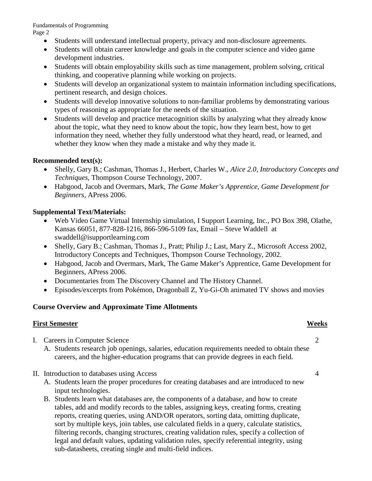Fundamentals of Programming Page 2

- Students will understand intellectual property, privacy and non-disclosure agreements.
- Students will obtain career knowledge and goals in the computer science and video game development industries.
- Students will obtain employability skills such as time management, problem solving, critical thinking, and cooperative planning while working on projects.
- Students will develop an organizational system to maintain information including specifications, pertinent research, and design choices.
- Students will develop innovative solutions to non-familiar problems by demonstrating various types of reasoning as appropriate for the needs of the situation.
- Students will develop and practice metacognition skills by analyzing what they already know about the topic, what they need to know about the topic, how they learn best, how to get information they need, whether they fully understood what they heard, read, or learned, and whether they know when they made a mistake and why they made it.

# **Recommended text(s):**

- Shelly, Gary B.; Cashman, Thomas J., Herbert, Charles W., *Alice 2.0, Introductory Concepts and Techniques*, Thompson Course Technology, 2007.
- Habgood, Jacob and Overmars, Mark, *The Game Maker's Apprentice, Game Development for Beginners,* APress 2006.

# **Supplemental Text/Materials:**

- Web Video Game Virtual Internship simulation, I Support Learning, Inc., PO Box 398, Olathe, Kansas 66051, 877-828-1216, 866-596-5109 fax, Email – Steve Waddell at [swaddell@isupportlearning.com](mailto:swaddell@isupportlearning.com)
- Shelly, Gary B.; Cashman, Thomas J., Pratt; Philip J.; Last, Mary Z., Microsoft Access 2002, Introductory Concepts and Techniques, Thompson Course Technology, 2002.
- Habgood, Jacob and Overmars, Mark, The Game Maker's Apprentice, Game Development for Beginners, APress 2006.
- Documentaries from The Discovery Channel and The History Channel.
- Episodes/excerpts from Pokémon, Dragonball Z, Yu-Gi-Oh animated TV shows and movies

# **Course Overview and Approximate Time Allotments**

# **First Semester Weeks**

- I. Careers in Computer Science 2
	- A. Students research job openings, salaries, education requirements needed to obtain these careers, and the higher-education programs that can provide degrees in each field.
- II. Introduction to databases using Access 4
	- A. Students learn the proper procedures for creating databases and are introduced to new input technologies.
	- B. Students learn what databases are, the components of a database, and how to create tables, add and modify records to the tables, assigning keys, creating forms, creating reports, creating queries, using AND/OR operators, sorting data, omitting duplicate, sort by multiple keys, join tables, use calculated fields in a query, calculate statistics, filtering records, changing structures, creating validation rules, specify a collection of legal and default values, updating validation rules, specify referential integrity, using sub-datasheets, creating single and multi-field indices.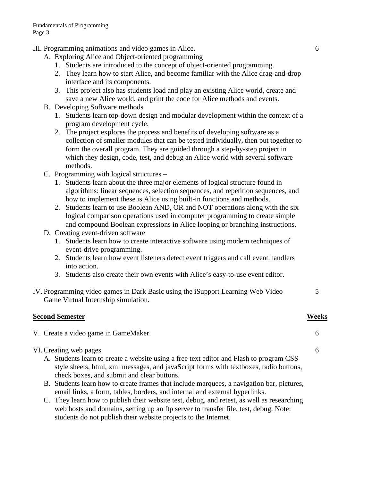- III. Programming animations and video games in Alice. 6
	- A. Exploring Alice and Object-oriented programming
		- 1. Students are introduced to the concept of object-oriented programming.
		- 2. They learn how to start Alice, and become familiar with the Alice drag-and-drop interface and its components.
		- 3. This project also has students load and play an existing Alice world, create and save a new Alice world, and print the code for Alice methods and events.
	- B. Developing Software methods
		- 1. Students learn top-down design and modular development within the context of a program development cycle.
		- 2. The project explores the process and benefits of developing software as a collection of smaller modules that can be tested individually, then put together to form the overall program. They are guided through a step-by-step project in which they design, code, test, and debug an Alice world with several software methods.
	- C. Programming with logical structures
		- 1. Students learn about the three major elements of logical structure found in algorithms: linear sequences, selection sequences, and repetition sequences, and how to implement these is Alice using built-in functions and methods.
		- 2. Students learn to use Boolean AND, OR and NOT operations along with the six logical comparison operations used in computer programming to create simple and compound Boolean expressions in Alice looping or branching instructions.
	- D. Creating event-driven software
		- 1. Students learn how to create interactive software using modern techniques of event-drive programming.
		- 2. Students learn how event listeners detect event triggers and call event handlers into action.
		- 3. Students also create their own events with Alice's easy-to-use event editor.
- IV. Programming video games in Dark Basic using the iSupport Learning Web Video 5 Game Virtual Internship simulation.

#### **Second Semester Weeks**

V. Create a video game in GameMaker. 6

# VI. Creating web pages. 6

- A. Students learn to create a website using a free text editor and Flash to program CSS style sheets, html, xml messages, and javaScript forms with textboxes, radio buttons, check boxes, and submit and clear buttons.
- B. Students learn how to create frames that include marquees, a navigation bar, pictures, email links, a form, tables, borders, and internal and external hyperlinks.
- C. They learn how to publish their website test, debug, and retest, as well as researching web hosts and domains, setting up an ftp server to transfer file, test, debug. Note: students do not publish their website projects to the Internet.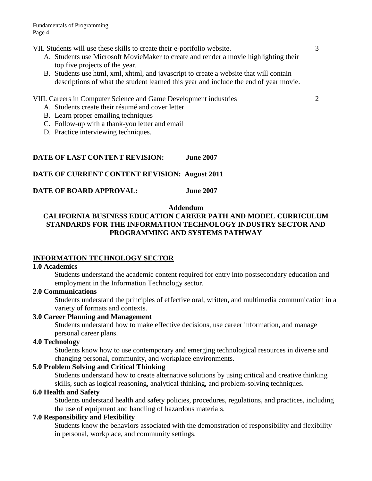VII. Students will use these skills to create their e-portfolio website. 3

- A. Students use Microsoft MovieMaker to create and render a movie highlighting their top five projects of the year.
- B. Students use html, xml, xhtml, and javascript to create a website that will contain descriptions of what the student learned this year and include the end of year movie.

#### VIII. Careers in Computer Science and Game Development industries 2

- A. Students create their résumé and cover letter
- B. Learn proper emailing techniques
- C. Follow-up with a thank-you letter and email
- D. Practice interviewing techniques.

#### **DATE OF LAST CONTENT REVISION: June 2007**

# **DATE OF CURRENT CONTENT REVISION: August 2011**

**DATE OF BOARD APPROVAL:** June 2007

#### **Addendum**

# **CALIFORNIA BUSINESS EDUCATION CAREER PATH AND MODEL CURRICULUM STANDARDS FOR THE INFORMATION TECHNOLOGY INDUSTRY SECTOR AND PROGRAMMING AND SYSTEMS PATHWAY**

# **INFORMATION TECHNOLOGY SECTOR**

#### **1.0 Academics**

Students understand the academic content required for entry into postsecondary education and employment in the Information Technology sector.

#### **2.0 Communications**

Students understand the principles of effective oral, written, and multimedia communication in a variety of formats and contexts.

#### **3.0 Career Planning and Management**

Students understand how to make effective decisions, use career information, and manage personal career plans.

#### **4.0 Technology**

Students know how to use contemporary and emerging technological resources in diverse and changing personal, community, and workplace environments.

# **5.0 Problem Solving and Critical Thinking**

Students understand how to create alternative solutions by using critical and creative thinking skills, such as logical reasoning, analytical thinking, and problem-solving techniques.

#### **6.0 Health and Safety**

Students understand health and safety policies, procedures, regulations, and practices, including the use of equipment and handling of hazardous materials.

#### **7.0 Responsibility and Flexibility**

Students know the behaviors associated with the demonstration of responsibility and flexibility in personal, workplace, and community settings.